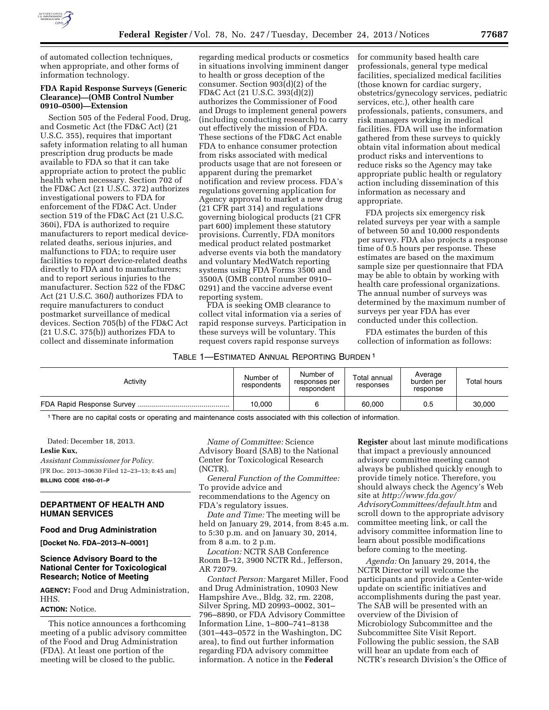

of automated collection techniques, when appropriate, and other forms of information technology.

# **FDA Rapid Response Surveys (Generic Clearance)—(OMB Control Number 0910–0500)—Extension**

Section 505 of the Federal Food, Drug, and Cosmetic Act (the FD&C Act) (21 U.S.C. 355), requires that important safety information relating to all human prescription drug products be made available to FDA so that it can take appropriate action to protect the public health when necessary. Section 702 of the FD&C Act (21 U.S.C. 372) authorizes investigational powers to FDA for enforcement of the FD&C Act. Under section 519 of the FD&C Act (21 U.S.C. 360i), FDA is authorized to require manufacturers to report medical devicerelated deaths, serious injuries, and malfunctions to FDA; to require user facilities to report device-related deaths directly to FDA and to manufacturers; and to report serious injuries to the manufacturer. Section 522 of the FD&C Act (21 U.S.C. 360*l*) authorizes FDA to require manufacturers to conduct postmarket surveillance of medical devices. Section 705(b) of the FD&C Act (21 U.S.C. 375(b)) authorizes FDA to collect and disseminate information

regarding medical products or cosmetics in situations involving imminent danger to health or gross deception of the consumer. Section 903(d)(2) of the FD&C Act (21 U.S.C. 393(d)(2)) authorizes the Commissioner of Food and Drugs to implement general powers (including conducting research) to carry out effectively the mission of FDA. These sections of the FD&C Act enable FDA to enhance consumer protection from risks associated with medical products usage that are not foreseen or apparent during the premarket notification and review process. FDA's regulations governing application for Agency approval to market a new drug (21 CFR part 314) and regulations governing biological products (21 CFR part 600) implement these statutory provisions. Currently, FDA monitors medical product related postmarket adverse events via both the mandatory and voluntary MedWatch reporting systems using FDA Forms 3500 and 3500A (OMB control number 0910– 0291) and the vaccine adverse event reporting system.

FDA is seeking OMB clearance to collect vital information via a series of rapid response surveys. Participation in these surveys will be voluntary. This request covers rapid response surveys

### TABLE 1—ESTIMATED ANNUAL REPORTING BURDEN 1

| for community based health care            |
|--------------------------------------------|
| professionals, general type medical        |
| facilities, specialized medical facilities |
| (those known for cardiac surgery,          |
| obstetrics/gynecology services, pediatric  |
| services, etc.), other health care         |
| professionals, patients, consumers, and    |
| risk managers working in medical           |
| facilities. FDA will use the information   |
| gathered from these surveys to quickly     |
| obtain vital information about medical     |
| product risks and interventions to         |
| reduce risks so the Agency may take        |
| appropriate public health or regulatory    |
| action including dissemination of this     |
| information as necessary and               |
| appropriate.                               |

FDA projects six emergency risk related surveys per year with a sample of between 50 and 10,000 respondents per survey. FDA also projects a response time of 0.5 hours per response. These estimates are based on the maximum sample size per questionnaire that FDA may be able to obtain by working with health care professional organizations. The annual number of surveys was determined by the maximum number of surveys per year FDA has ever conducted under this collection.

FDA estimates the burden of this collection of information as follows:

| Activity | Number of<br>respondents | Number of<br>responses per<br>respondent | Total annual<br>responses | Average<br>burden per<br>response | Total hours |
|----------|--------------------------|------------------------------------------|---------------------------|-----------------------------------|-------------|
|          | 10.000                   |                                          | 60,000                    | 0.5                               | 30,000      |

1There are no capital costs or operating and maintenance costs associated with this collection of information.

Dated: December 18, 2013. **Leslie Kux,**  *Assistant Commissioner for Policy.* 

[FR Doc. 2013–30630 Filed 12–23–13; 8:45 am] **BILLING CODE 4160–01–P** 

# **DEPARTMENT OF HEALTH AND HUMAN SERVICES**

### **Food and Drug Administration**

**[Docket No. FDA–2013–N–0001]** 

# **Science Advisory Board to the National Center for Toxicological Research; Notice of Meeting**

**AGENCY:** Food and Drug Administration, HHS.

# **ACTION:** Notice.

This notice announces a forthcoming meeting of a public advisory committee of the Food and Drug Administration (FDA). At least one portion of the meeting will be closed to the public.

*Name of Committee:* Science Advisory Board (SAB) to the National Center for Toxicological Research (NCTR).

*General Function of the Committee:*  To provide advice and recommendations to the Agency on FDA's regulatory issues.

*Date and Time:* The meeting will be held on January 29, 2014, from 8:45 a.m. to 5:30 p.m. and on January 30, 2014, from 8 a.m. to 2 p.m.

*Location:* NCTR SAB Conference Room B–12, 3900 NCTR Rd., Jefferson, AR 72079.

*Contact Person:* Margaret Miller, Food and Drug Administration, 10903 New Hampshire Ave., Bldg. 32, rm. 2208, Silver Spring, MD 20993–0002, 301– 796–8890, or FDA Advisory Committee Information Line, 1–800–741–8138 (301–443–0572 in the Washington, DC area), to find out further information regarding FDA advisory committee information. A notice in the **Federal** 

**Register** about last minute modifications that impact a previously announced advisory committee meeting cannot always be published quickly enough to provide timely notice. Therefore, you should always check the Agency's Web site at *[http://www.fda.gov/](http://www.fda.gov/AdvisoryCommittees/default.htm) [AdvisoryCommittees/default.htm](http://www.fda.gov/AdvisoryCommittees/default.htm)* and scroll down to the appropriate advisory committee meeting link, or call the advisory committee information line to learn about possible modifications before coming to the meeting.

*Agenda:* On January 29, 2014, the NCTR Director will welcome the participants and provide a Center-wide update on scientific initiatives and accomplishments during the past year. The SAB will be presented with an overview of the Division of Microbiology Subcommittee and the Subcommittee Site Visit Report. Following the public session, the SAB will hear an update from each of NCTR's research Division's the Office of